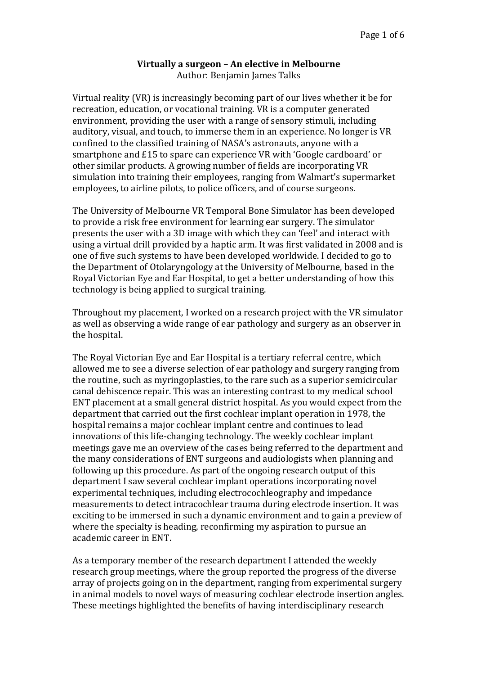## **Virtually a surgeon - An elective in Melbourne**

Author: Benjamin James Talks

Virtual reality (VR) is increasingly becoming part of our lives whether it be for recreation, education, or vocational training. VR is a computer generated environment, providing the user with a range of sensory stimuli, including auditory, visual, and touch, to immerse them in an experience. No longer is VR confined to the classified training of NASA's astronauts, anyone with a smartphone and £15 to spare can experience VR with 'Google cardboard' or other similar products. A growing number of fields are incorporating VR simulation into training their employees, ranging from Walmart's supermarket employees, to airline pilots, to police officers, and of course surgeons.

The University of Melbourne VR Temporal Bone Simulator has been developed to provide a risk free environment for learning ear surgery. The simulator presents the user with a 3D image with which they can 'feel' and interact with using a virtual drill provided by a haptic arm. It was first validated in 2008 and is one of five such systems to have been developed worldwide. I decided to go to the Department of Otolaryngology at the University of Melbourne, based in the Royal Victorian Eve and Ear Hospital, to get a better understanding of how this technology is being applied to surgical training.

Throughout my placement, I worked on a research project with the VR simulator as well as observing a wide range of ear pathology and surgery as an observer in the hospital.

The Royal Victorian Eye and Ear Hospital is a tertiary referral centre, which allowed me to see a diverse selection of ear pathology and surgery ranging from the routine, such as myringoplasties, to the rare such as a superior semicircular canal dehiscence repair. This was an interesting contrast to my medical school ENT placement at a small general district hospital. As you would expect from the department that carried out the first cochlear implant operation in 1978, the hospital remains a major cochlear implant centre and continues to lead innovations of this life-changing technology. The weekly cochlear implant meetings gave me an overview of the cases being referred to the department and the many considerations of ENT surgeons and audiologists when planning and following up this procedure. As part of the ongoing research output of this department I saw several cochlear implant operations incorporating novel experimental techniques, including electrocochleography and impedance measurements to detect intracochlear trauma during electrode insertion. It was exciting to be immersed in such a dynamic environment and to gain a preview of where the specialty is heading, reconfirming my aspiration to pursue an academic career in ENT.

As a temporary member of the research department I attended the weekly research group meetings, where the group reported the progress of the diverse array of projects going on in the department, ranging from experimental surgery in animal models to novel ways of measuring cochlear electrode insertion angles. These meetings highlighted the benefits of having interdisciplinary research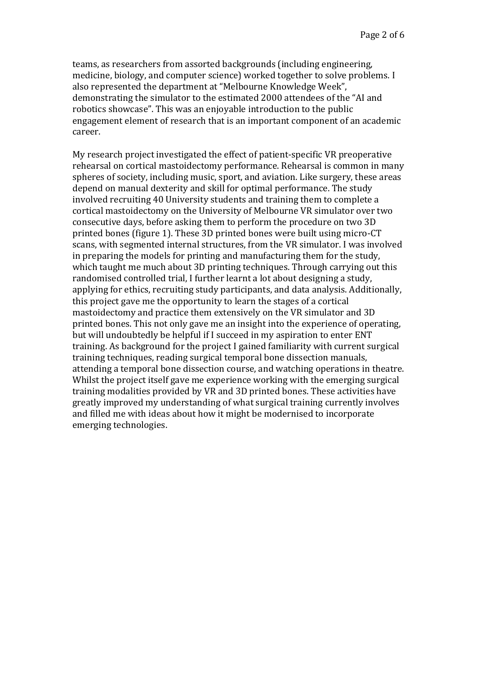teams, as researchers from assorted backgrounds (including engineering, medicine, biology, and computer science) worked together to solve problems. I also represented the department at "Melbourne Knowledge Week", demonstrating the simulator to the estimated 2000 attendees of the "AI and robotics showcase". This was an enjoyable introduction to the public engagement element of research that is an important component of an academic career. 

My research project investigated the effect of patient-specific VR preoperative rehearsal on cortical mastoidectomy performance. Rehearsal is common in many spheres of society, including music, sport, and aviation. Like surgery, these areas depend on manual dexterity and skill for optimal performance. The study involved recruiting 40 University students and training them to complete a cortical mastoidectomy on the University of Melbourne VR simulator over two consecutive days, before asking them to perform the procedure on two 3D printed bones (figure 1). These 3D printed bones were built using micro-CT scans, with segmented internal structures, from the VR simulator. I was involved in preparing the models for printing and manufacturing them for the study, which taught me much about 3D printing techniques. Through carrying out this randomised controlled trial, I further learnt a lot about designing a study, applying for ethics, recruiting study participants, and data analysis. Additionally, this project gave me the opportunity to learn the stages of a cortical mastoidectomy and practice them extensively on the VR simulator and 3D printed bones. This not only gave me an insight into the experience of operating, but will undoubtedly be helpful if I succeed in my aspiration to enter ENT training. As background for the project I gained familiarity with current surgical training techniques, reading surgical temporal bone dissection manuals, attending a temporal bone dissection course, and watching operations in theatre. Whilst the project itself gave me experience working with the emerging surgical training modalities provided by VR and 3D printed bones. These activities have greatly improved my understanding of what surgical training currently involves and filled me with ideas about how it might be modernised to incorporate emerging technologies.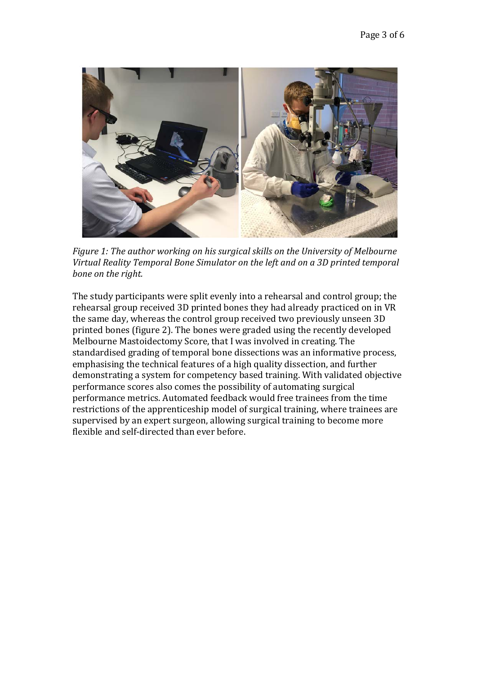

*Figure 1: The author working on his surgical skills on the University of Melbourne* Virtual Reality Temporal Bone Simulator on the left and on a 3D printed temporal bone on the right.

The study participants were split evenly into a rehearsal and control group; the rehearsal group received 3D printed bones they had already practiced on in VR the same day, whereas the control group received two previously unseen 3D printed bones (figure 2). The bones were graded using the recently developed Melbourne Mastoidectomy Score, that I was involved in creating. The standardised grading of temporal bone dissections was an informative process, emphasising the technical features of a high quality dissection, and further demonstrating a system for competency based training. With validated objective performance scores also comes the possibility of automating surgical performance metrics. Automated feedback would free trainees from the time restrictions of the apprenticeship model of surgical training, where trainees are supervised by an expert surgeon, allowing surgical training to become more flexible and self-directed than ever before.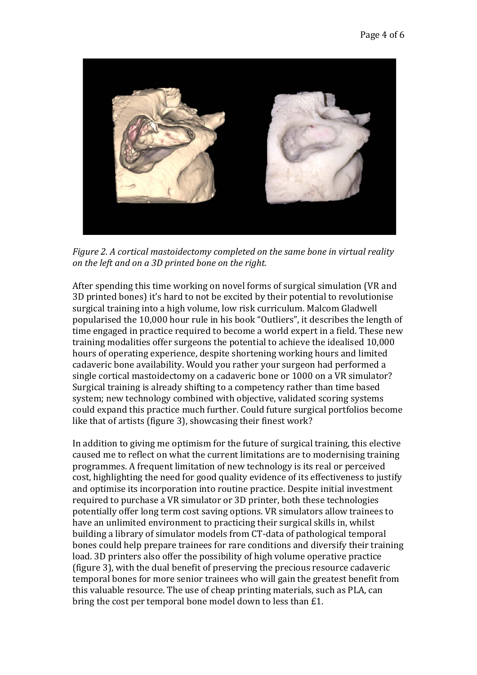

*Figure 2.* A cortical mastoidectomy completed on the same bone in virtual reality *on the left and on a 3D printed bone on the right.* 

After spending this time working on novel forms of surgical simulation (VR and 3D printed bones) it's hard to not be excited by their potential to revolutionise surgical training into a high volume, low risk curriculum. Malcom Gladwell popularised the 10,000 hour rule in his book "Outliers", it describes the length of time engaged in practice required to become a world expert in a field. These new training modalities offer surgeons the potential to achieve the idealised 10,000 hours of operating experience, despite shortening working hours and limited cadaveric bone availability. Would you rather your surgeon had performed a single cortical mastoidectomy on a cadaveric bone or 1000 on a VR simulator? Surgical training is already shifting to a competency rather than time based system; new technology combined with objective, validated scoring systems could expand this practice much further. Could future surgical portfolios become like that of artists (figure 3), showcasing their finest work?

In addition to giving me optimism for the future of surgical training, this elective caused me to reflect on what the current limitations are to modernising training programmes. A frequent limitation of new technology is its real or perceived cost, highlighting the need for good quality evidence of its effectiveness to justify and optimise its incorporation into routine practice. Despite initial investment required to purchase a VR simulator or 3D printer, both these technologies potentially offer long term cost saving options. VR simulators allow trainees to have an unlimited environment to practicing their surgical skills in, whilst building a library of simulator models from CT-data of pathological temporal bones could help prepare trainees for rare conditions and diversify their training load. 3D printers also offer the possibility of high volume operative practice (figure 3), with the dual benefit of preserving the precious resource cadaveric temporal bones for more senior trainees who will gain the greatest benefit from this valuable resource. The use of cheap printing materials, such as PLA, can bring the cost per temporal bone model down to less than  $£1$ .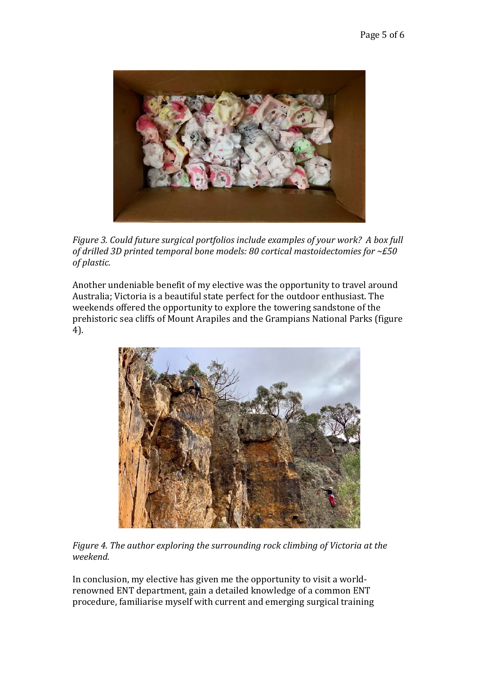

*Figure* 3. Could future surgical portfolios include examples of your work? A box full of drilled 3D printed temporal bone models: 80 cortical mastoidectomies for ~£50  $of$ *plastic.* 

Another undeniable benefit of my elective was the opportunity to travel around Australia; Victoria is a beautiful state perfect for the outdoor enthusiast. The weekends offered the opportunity to explore the towering sandstone of the prehistoric sea cliffs of Mount Arapiles and the Grampians National Parks (figure 4).



*Figure* 4. The author exploring the surrounding rock climbing of Victoria at the *weekend.*

In conclusion, my elective has given me the opportunity to visit a worldrenowned ENT department, gain a detailed knowledge of a common ENT procedure, familiarise myself with current and emerging surgical training